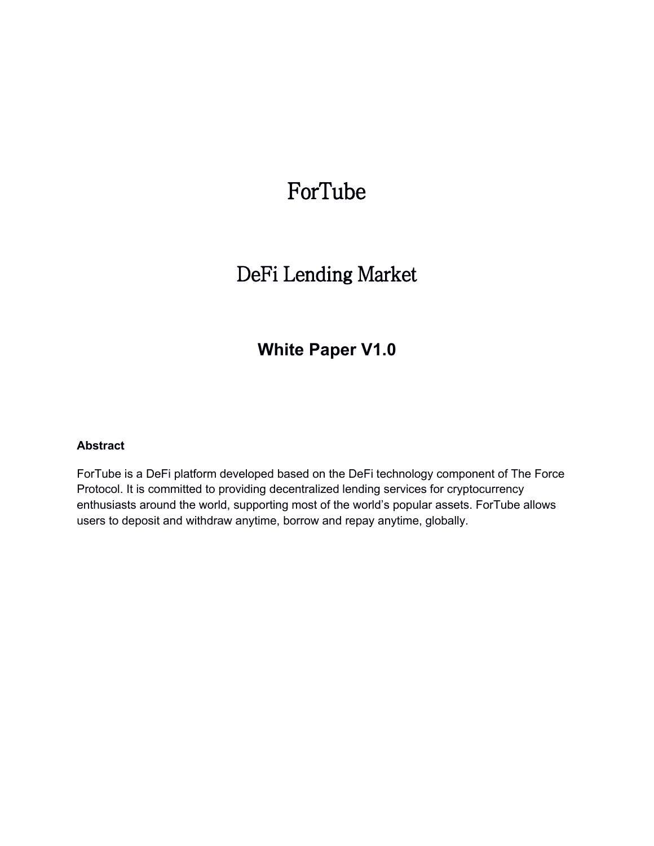# ForTube

# DeFi Lending Market

# **White Paper V1.0**

#### **Abstract**

ForTube is a DeFi platform developed based on the DeFi technology component of The Force Protocol. It is committed to providing decentralized lending services for cryptocurrency enthusiasts around the world, supporting most of the world's popular assets. ForTube allows users to deposit and withdraw anytime, borrow and repay anytime, globally.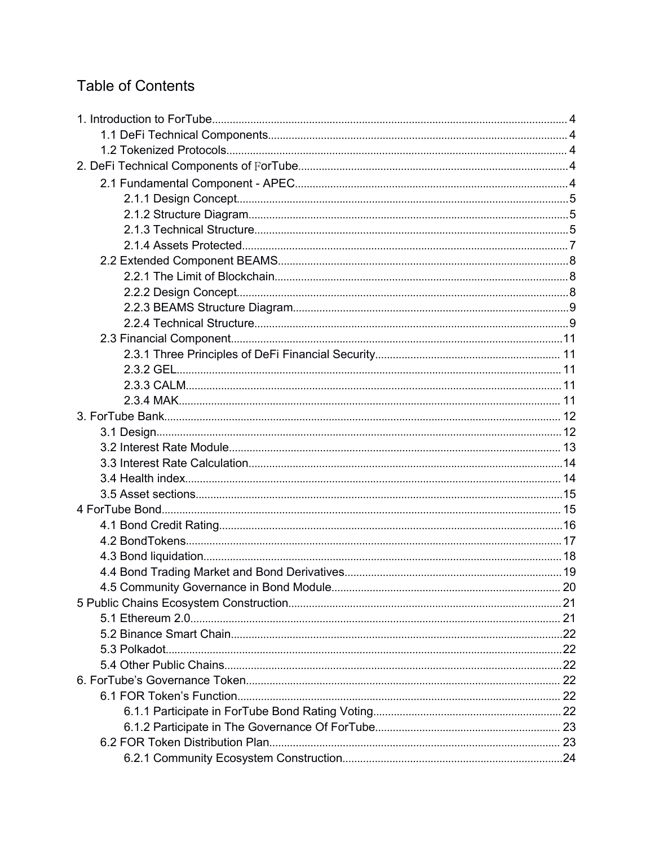# **Table of Contents**

| 4.5 Community Governance in Bond Module. |  |
|------------------------------------------|--|
|                                          |  |
|                                          |  |
|                                          |  |
|                                          |  |
|                                          |  |
|                                          |  |
|                                          |  |
|                                          |  |
|                                          |  |
|                                          |  |
|                                          |  |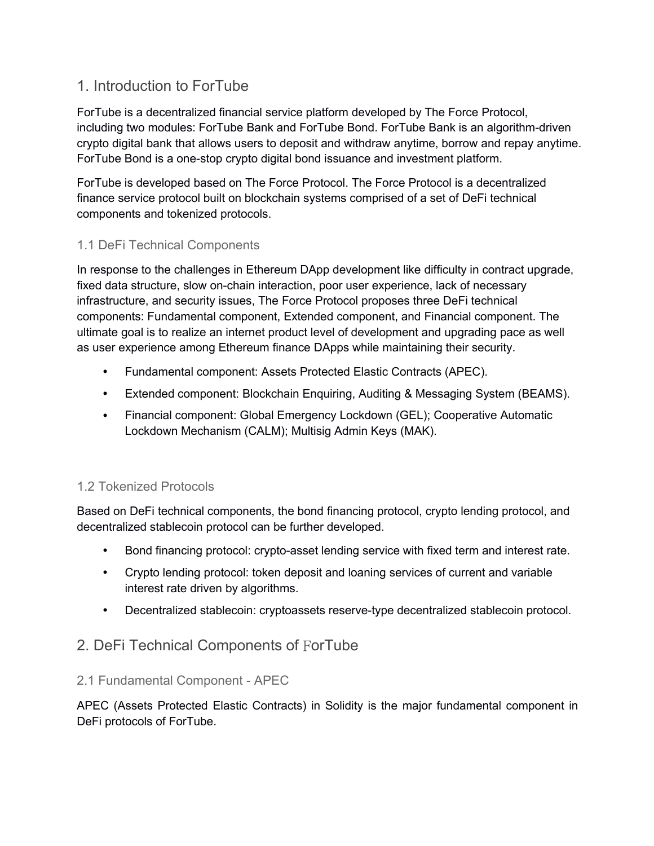# <span id="page-3-0"></span>1. Introduction to ForTube

ForTube is a decentralized financial service platform developed by The Force Protocol, including two modules: ForTube Bank and ForTube Bond. ForTube Bank is an algorithm-driven crypto digital bank that allows users to deposit and withdraw anytime, borrow and repay anytime. ForTube Bond is a one-stop crypto digital bond issuance and investment platform.

ForTube is developed based on The Force Protocol. The Force Protocol is a decentralized finance service protocol built on blockchain systems comprised of a set of DeFi technical components and tokenized protocols.

# 1.1 DeFi Technical Components

In response to the challenges in Ethereum DApp development like difficulty in contract upgrade, fixed data structure, slow on-chain interaction, poor user experience, lack of necessary infrastructure, and security issues, The Force Protocol proposes three DeFi technical components: Fundamental component, Extended component, and Financial component. The ultimate goal is to realize an internet product level of development and upgrading pace as well as user experience among Ethereum finance DApps while maintaining their security.

- Fundamental component: Assets Protected Elastic Contracts (APEC).
- Extended component: Blockchain Enquiring, Auditing & Messaging System (BEAMS).
- Financial component: Global Emergency Lockdown (GEL); Cooperative Automatic Lockdown Mechanism (CALM); Multisig Admin Keys (MAK).

# 1.2 Tokenized Protocols

Based on DeFi technical components, the bond financing protocol, crypto lending protocol, and decentralized stablecoin protocol can be further developed.

- Bond financing protocol: crypto-asset lending service with fixed term and interest rate.
- Crypto lending protocol: token deposit and loaning services of current and variable interest rate driven by algorithms.
- Decentralized stablecoin: cryptoassets reserve-type decentralized stablecoin protocol.

# 2. DeFi Technical Components of ForTube

# 2.1 Fundamental Component - APEC

APEC (Assets Protected Elastic Contracts) in Solidity is the major fundamental component in DeFi protocols of ForTube.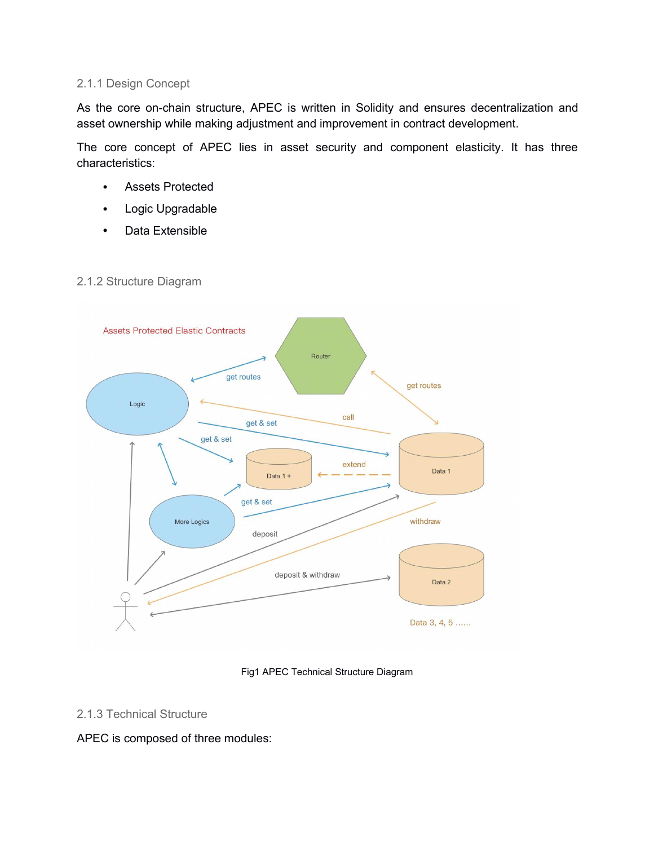#### <span id="page-4-0"></span>2.1.1 Design Concept

As the core on-chain structure, APEC is written in Solidity and ensures decentralization and asset ownership while making adjustment and improvement in contract development.

The core concept of APEC lies in asset security and component elasticity. It has three characteristics:

- Assets Protected
- Logic Upgradable
- Data Extensible



#### 2.1.2 Structure Diagram

Fig1 APEC Technical Structure Diagram

#### 2.1.3 Technical Structure

#### APEC is composed of three modules: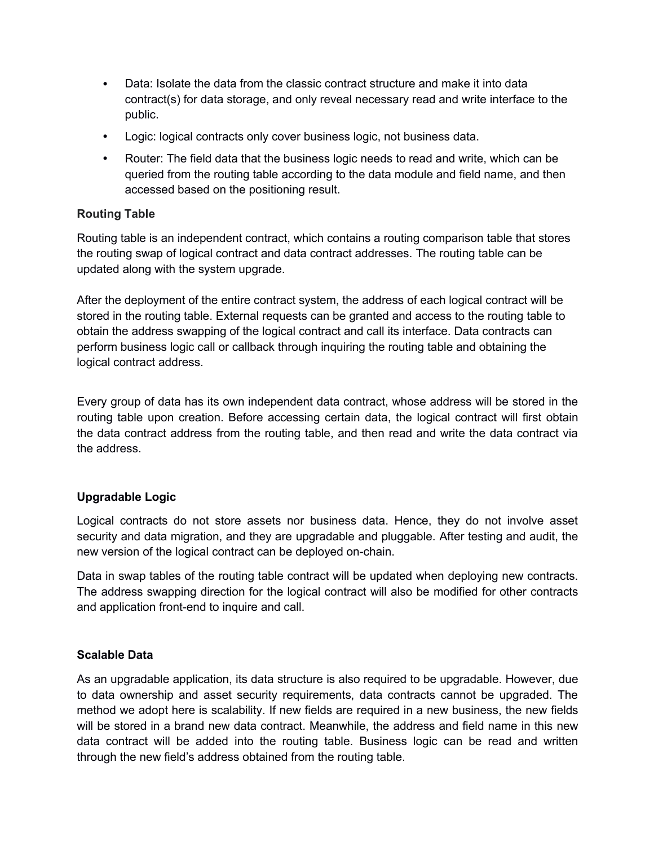- Data: Isolate the data from the classic contract structure and make it into data contract(s) for data storage, and only reveal necessary read and write interface to the public.
- Logic: logical contracts only cover business logic, not business data.
- Router: The field data that the business logic needs to read and write, which can be queried from the routing table according to the data module and field name, and then accessed based on the positioning result.

#### **Routing Table**

Routing table is an independent contract, which contains a routing comparison table that stores the routing swap of logical contract and data contract addresses. The routing table can be updated along with the system upgrade.

After the deployment of the entire contract system, the address of each logical contract will be stored in the routing table. External requests can be granted and access to the routing table to obtain the address swapping of the logical contract and call its interface. Data contracts can perform business logic call or callback through inquiring the routing table and obtaining the logical contract address.

Every group of data has its own independent data contract, whose address will be stored in the routing table upon creation. Before accessing certain data, the logical contract will first obtain the data contract address from the routing table, and then read and write the data contract via the address.

#### **Upgradable Logic**

Logical contracts do not store assets nor business data. Hence, they do not involve asset security and data migration, and they are upgradable and pluggable. After testing and audit, the new version of the logical contract can be deployed on-chain.

Data in swap tables of the routing table contract will be updated when deploying new contracts. The address swapping direction for the logical contract will also be modified for other contracts and application front-end to inquire and call.

#### **Scalable Data**

As an upgradable application, its data structure is also required to be upgradable. However, due to data ownership and asset security requirements, data contracts cannot be upgraded. The method we adopt here is scalability. If new fields are required in a new business, the new fields will be stored in a brand new data contract. Meanwhile, the address and field name in this new data contract will be added into the routing table. Business logic can be read and written through the new field's address obtained from the routing table.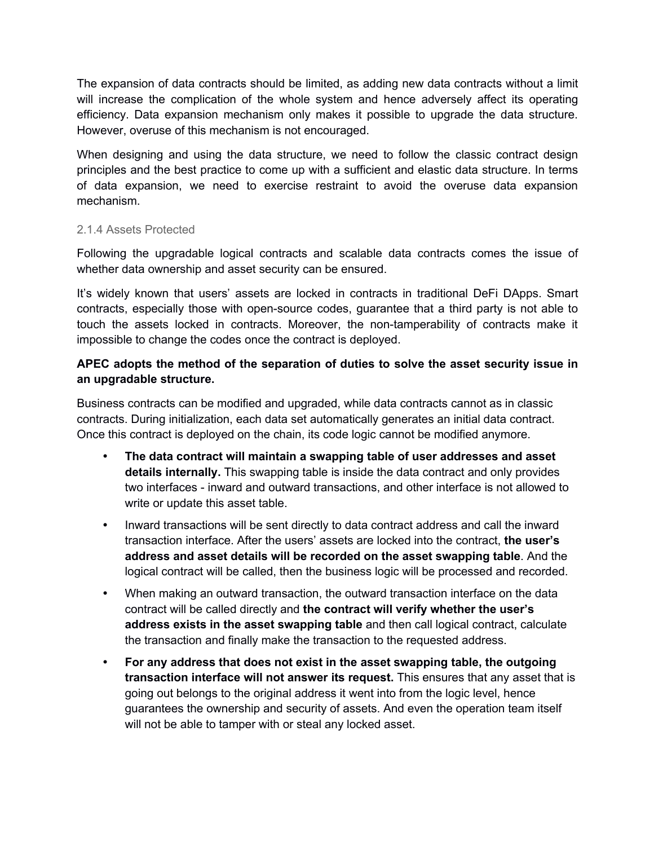<span id="page-6-0"></span>The expansion of data contracts should be limited, as adding new data contracts without a limit will increase the complication of the whole system and hence adversely affect its operating efficiency. Data expansion mechanism only makes it possible to upgrade the data structure. However, overuse of this mechanism is not encouraged.

When designing and using the data structure, we need to follow the classic contract design principles and the best practice to come up with a sufficient and elastic data structure. In terms of data expansion, we need to exercise restraint to avoid the overuse data expansion mechanism.

#### 2.1.4 Assets Protected

Following the upgradable logical contracts and scalable data contracts comes the issue of whether data ownership and asset security can be ensured.

It's widely known that users' assets are locked in contracts in traditional DeFi DApps. Smart contracts, especially those with open-source codes, guarantee that a third party is not able to touch the assets locked in contracts. Moreover, the non-tamperability of contracts make it impossible to change the codes once the contract is deployed.

#### **APEC adopts the method of the separation of duties to solve the asset security issue in an upgradable structure.**

Business contracts can be modified and upgraded, while data contracts cannot as in classic contracts. During initialization, each data set automatically generates an initial data contract. Once this contract is deployed on the chain, its code logic cannot be modified anymore.

- **The data contractwill maintain a swapping table of user addresses and asset details internally.** This swapping table is inside the data contract and only provides two interfaces - inward and outward transactions, and other interface is not allowed to write or update this asset table.
- Inward transactions will be sent directly to data contract address and call the inward transaction interface. After the users' assets are locked into the contract, **the user's address and asset details will be recorded on the asset swapping table**. And the logical contract will be called, then the business logic will be processed and recorded.
- When making an outward transaction, the outward transaction interface on the data contract will be called directly and **the contractwill verify whether the user's address exists in the asset swapping table** and then call logical contract, calculate the transaction and finally make the transaction to the requested address.
- **For any address that does not exist in the asset swapping table, the outgoing transaction interface willnot answer its request.** This ensures that any asset that is going out belongs to the original address it went into from the logic level, hence guarantees the ownership and security of assets. And even the operation team itself will not be able to tamper with or steal any locked asset.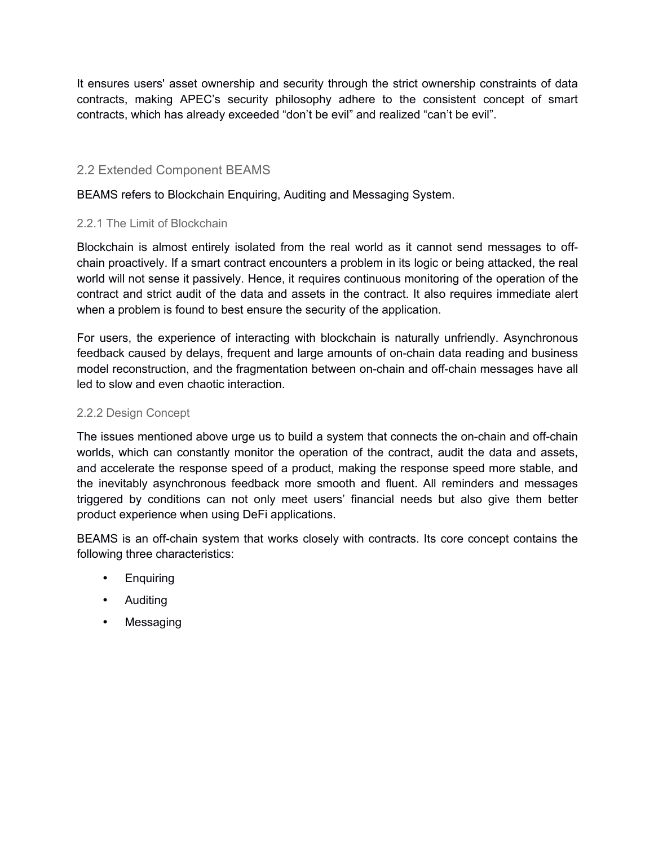<span id="page-7-0"></span>It ensures users' asset ownership and security through the strict ownership constraints of data contracts, making APEC's security philosophy adhere to the consistent concept of smart contracts, which has already exceeded "don't be evil" and realized "can't be evil".

## 2.2 Extended Component BEAMS

BEAMS refers to Blockchain Enquiring, Auditing and Messaging System.

#### 2.2.1 The Limit of Blockchain

Blockchain is almost entirely isolated from the real world as it cannot send messages to off chain proactively. If a smart contract encounters a problem in its logic or being attacked, the real world will not sense it passively. Hence, it requires continuous monitoring of the operation of the contract and strict audit of the data and assets in the contract. It also requires immediate alert

when a problem is found to best ensure the security of the application.<br>For users, the experience of interacting with blockchain is naturally unfriendly. Asynchronous feedback caused by delays, frequent and large amounts of on-chain data reading and business model reconstruction, and the fragmentation between on-chain and off-chain messages have all led to slow and even chaotic interaction.

#### 2.2.2 Design Concept

The issues mentioned above urge us to build a system that connects the on-chain and off-chain worlds, which can constantly monitor the operation of the contract, audit the data and assets, and accelerate the response speed of a product, making the response speed more stable, and the inevitably asynchronous feedback more smooth and fluent. All reminders and messages triggered by conditions can not only meet users' financial needs but also give them better product experience when using DeFi applications.

BEAMS is an off-chain system that works closely with contracts. Its core concept contains the following three characteristics:

- **Enquiring**
- Auditing
- Messaging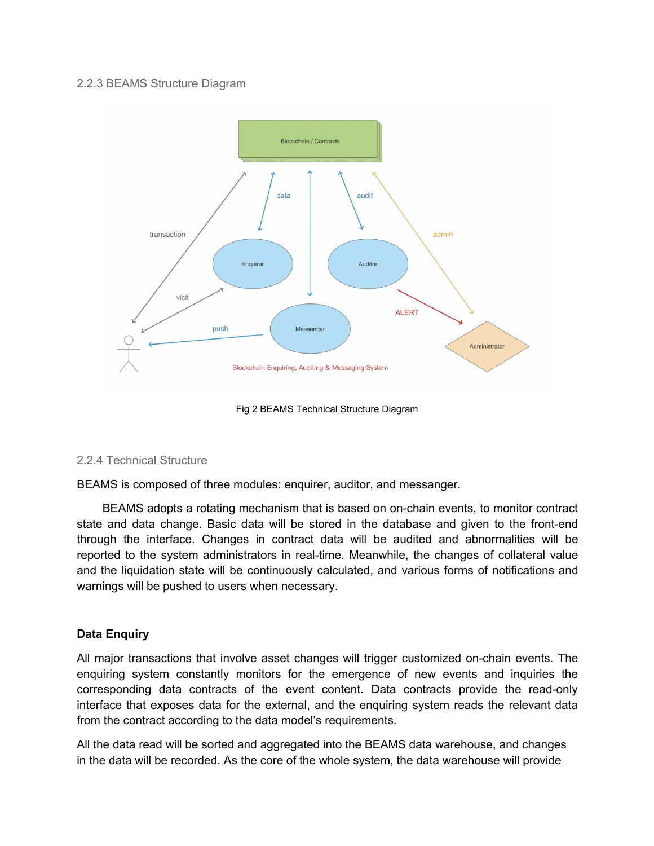#### <span id="page-8-0"></span>2.2.3 BEAMS Structure Diagram



Fig 2 BEAMS Technical Structure Diagram

#### 2.2.4 Technical Structure

BEAMS is composed of three modules: enquirer, auditor, and messanger.

BEAMS adopts a rotating mechanism that is based on on-chain events, to monitor contract state and data change. Basic data will be stored in the database and given to the front-end through the interface. Changes in contract data will be audited and abnormalities will be reported to the system administrators in real-time. Meanwhile, the changes of collateral value and the liquidation state will be continuously calculated, and various forms of notifications and warnings will be pushed to users when necessary.

#### **Data Enquiry**

All major transactions that involve asset changes will trigger customized on-chain events. The enquiring system constantly monitors for the emergence of new events and inquiries the corresponding data contracts of the event content. Data contracts provide the read-only interface that exposes data for the external, and the enquiring system reads the relevant data from the contract according to the data model's requirements.

All the data read will be sorted and aggregated into the BEAMS data warehouse, and changes in the data will be recorded. As the core of the whole system, the data warehouse will provide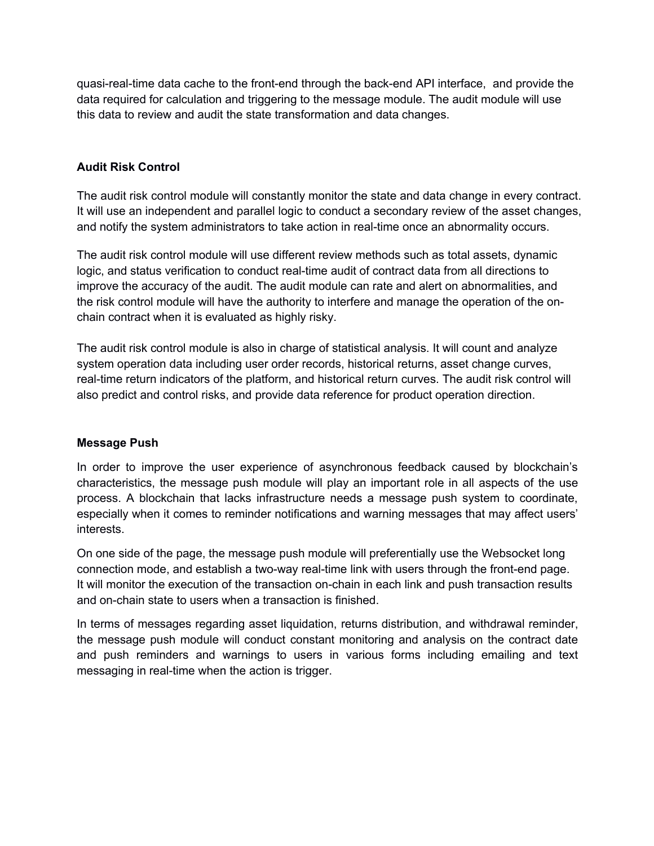quasi-real-time data cache to the front-end through the back-end API interface, and provide the data required for calculation and triggering to the message module. The audit module will use this data to review and audit the state transformation and data changes.

#### **Audit Risk Control**

The audit risk control module will constantly monitor the state and data change in every contract. It will use an independent and parallel logic to conduct a secondary review of the asset changes, and notify the system administrators to take action in real-time once an abnormality occurs.

The audit risk control module will use different review methods such as total assets, dynamic logic, and status verification to conduct real-time audit of contract data from all directions to improve the accuracy of the audit. The audit module can rate and alert on abnormalities, and the risk control module will have the authority to interfere and manage the operation of the on chain contract when it is evaluated as highly risky.

The audit risk control module is also in charge of statistical analysis. It will count and analyze system operation data including user order records, historical returns, asset change curves, real-time return indicators of the platform, and historical return curves. The audit risk control will also predict and control risks, and provide data reference for product operation direction.

#### **Message Push**

In order to improve the user experience of asynchronous feedback caused by blockchain's characteristics, the message push module will play an important role in all aspects of the use process. A blockchain that lacks infrastructure needs a message push system to coordinate, especially when it comes to reminder notifications and warning messages that may affect users' interests.

On one side of the page, the message push module will preferentially use the Websocket long connection mode, and establish a two-way real-time link with users through the front-end page. It will monitor the execution of the transaction on-chain in each link and push transaction results and on-chain state to users when a transaction is finished.

In terms of messages regarding asset liquidation, returns distribution, and withdrawal reminder, the message push module will conduct constant monitoring and analysis on the contract date and push reminders and warnings to users in various forms including emailing and text messaging in real-time when the action is trigger.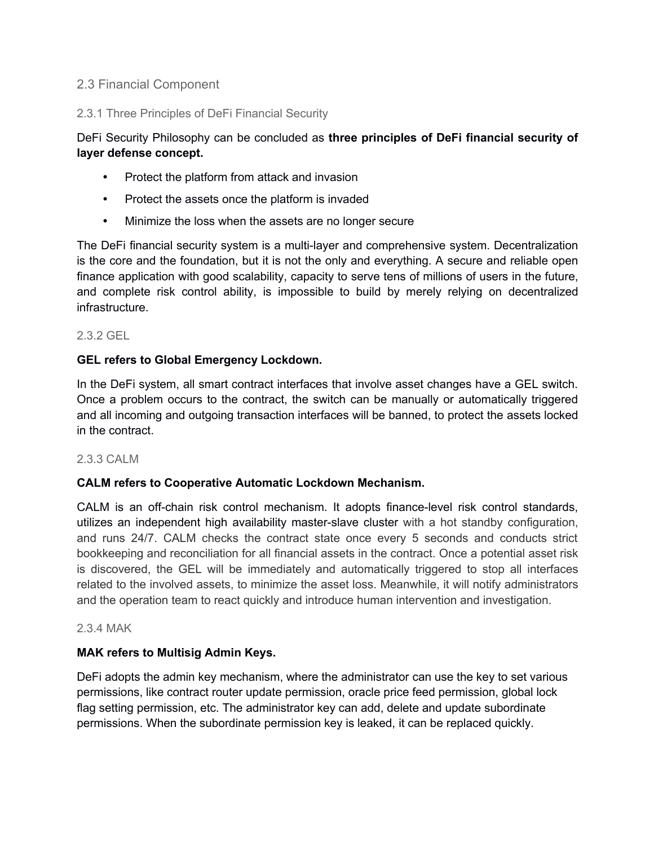#### <span id="page-10-0"></span>2.3 Financial Component

#### 2.3.1 Three Principles of DeFi Financial Security

### DeFi Security Philosophy can be concluded as **three principles of DeFi financial security of layer defense concept.**

- Protect the platform from attack and invasion
- Protect the assets once the platform is invaded
- Minimize the loss when the assets are no longer secure

The DeFi financial security system is a multi-layer and comprehensive system. Decentralization is the core and the foundation, but it is not the only and everything. A secure and reliable open finance application with good scalability, capacity to serve tens of millions of users in the future, and complete risk control ability, is impossible to build by merely relying on decentralized infrastructure.

#### 2.3.2 GEL

#### **GEL refers to Global Emergency Lockdown.**

In the DeFi system, all smart contract interfaces that involve asset changes have a GEL switch. Once a problem occurs to the contract, the switch can be manually or automatically triggered and all incoming and outgoing transaction interfaces will be banned, to protect the assets locked in the contract.

#### 2.3.3 CALM

#### **CALM refers toCooperative Automatic Lockdown Mechanism.**

CALM is an off-chain risk control mechanism. It adopts finance-level risk control standards, utilizes an independent high availability master-slave cluster with a hot standby configuration, and runs 24/7. CALM checks the contract state once every 5 seconds and conducts strict bookkeeping and reconciliation for all financial assets in the contract. Once a potential asset risk is discovered, the GEL will be immediately and automatically triggered to stop all interfaces related to the involved assets, to minimize the asset loss. Meanwhile, it will notify administrators and the operation team to react quickly and introduce human intervention and investigation.

#### 2.3.4 MAK

#### **MAK refers to Multisig Admin Keys.**

DeFi adopts the admin key mechanism, where the administrator can use the key to set various permissions, like contract router update permission, oracle price feed permission, global lock flag setting permission, etc. The administrator key can add, delete and update subordinate permissions. When the subordinate permission key is leaked, itcan be replaced quickly.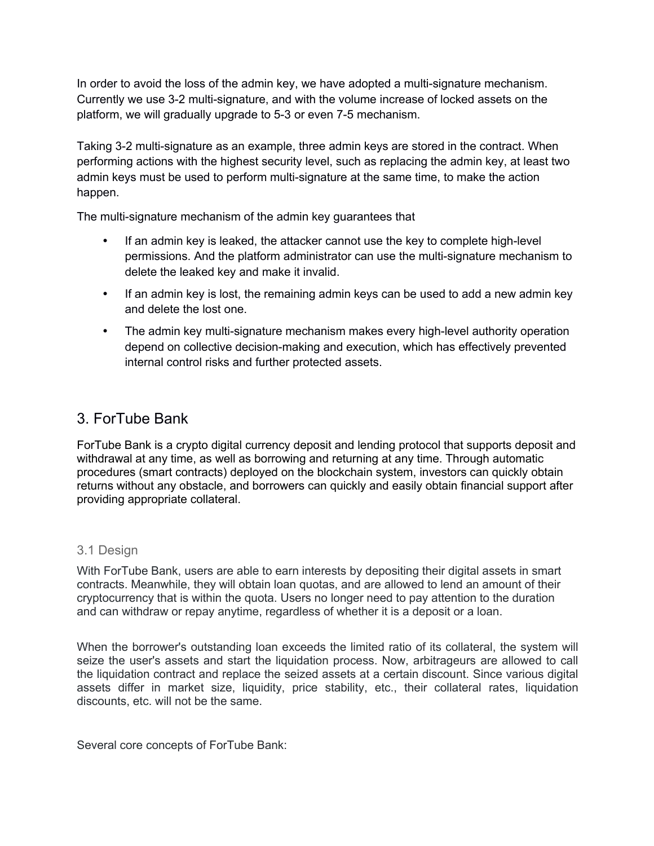<span id="page-11-0"></span>In order to avoid the loss of the admin key, we have adopted a multi-signature mechanism. Currently we use 3-2 multi-signature, and with the volume increase of locked assets on the platform, we will gradually upgrade to 5-3 or even 7-5 mechanism.

Taking 3-2 multi-signature as an example, three admin keys are stored in the contract. When performing actions with the highest security level, such as replacing the admin key, at least two admin keys must be used to perform multi-signature at the same time, to make the action happen.

The multi-signature mechanism of the admin key guarantees that

- If an admin key is leaked, the attacker cannot use the key to complete high-level permissions. And the platform administrator can use the multi-signature mechanism to delete the leaked key and make it invalid.
- If an admin key is lost, the remaining admin keys can be used to add a new admin key and delete the lost one.
- The admin key multi-signature mechanism makes every high-level authority operation depend on collective decision-making and execution, which has effectively prevented internal control risks and further protected assets.

# 3. ForTube Bank

ForTube Bank is a crypto digital currency deposit and lending protocol that supports deposit and withdrawal at any time, as well as borrowing and returning at any time. Through automatic procedures (smart contracts) deployed on the blockchain system, investors can quickly obtain returns without any obstacle, and borrowers can quickly and easily obtain financial support after providing appropriate collateral.

#### 3.1 Design

With ForTube Bank, users are able to earn interests by depositing their digital assets in smart contracts. Meanwhile, they will obtain loan quotas, and are allowed to lend an amount of their cryptocurrency that is within the quota. Users no longer need to pay attention to the duration and can withdraw or repay anytime, regardless of whether it is a deposit or a loan.

When the borrower's outstanding loan exceeds the limited ratio of its collateral, the system will seize the user's assets and start the liquidation process. Now, arbitrageurs are allowed to call the liquidation contract and replace the seized assets at a certain discount. Since various digital assets differ in market size, liquidity, price stability, etc., their collateral rates, liquidation discounts, etc. will not be the same.

Several core concepts of ForTube Bank: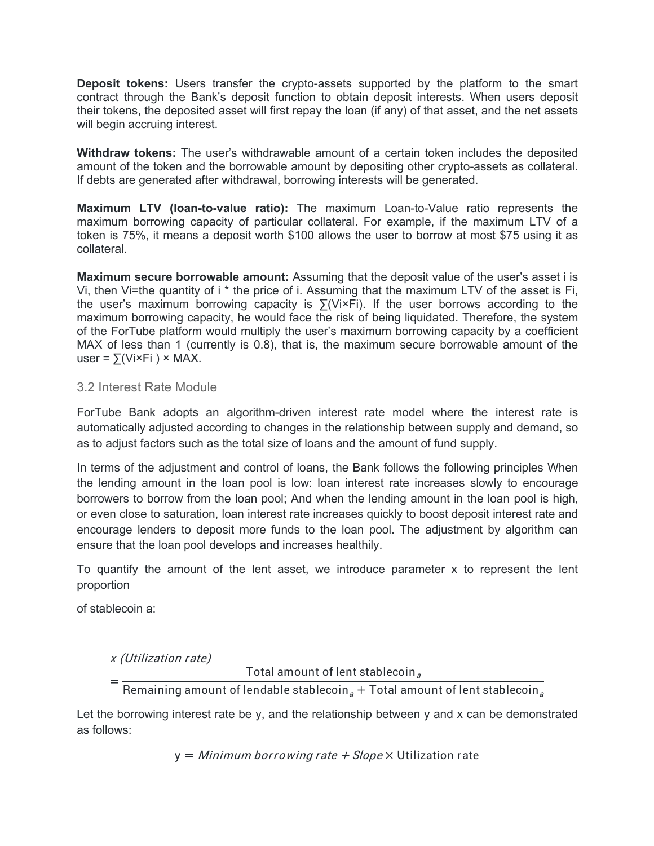<span id="page-12-0"></span>**Deposit tokens:** Users transfer the crypto-assets supported by the platform to the smart contract through the Bank's deposit function to obtain deposit interests. When users deposit their tokens, the deposited asset will first repay the loan (if any) of that asset, and the net assets will begin accruing interest.

**Withdraw tokens:** The user's withdrawable amount of a certain token includes the deposited amount of the token and the borrowable amount by depositing other crypto-assets as collateral. If debts are generated after withdrawal, borrowing interests will be generated.

**Maximum LTV (loan-to-value ratio):** The maximum Loan-to-Value ratio represents the maximum borrowing capacity of particular collateral. For example, if the maximum LTV of a token is 75%, it means a deposit worth \$100 allows the user to borrow at most \$75 using it as collateral.

**Maximum secure borrowable amount:**Assuming that the deposit value of the user's asset i is Vi, then Vi=the quantity of i \* the price of i. Assuming that the maximum LTV of the asset is Fi, the user's maximum borrowing capacity is  $\sum (V_i \times F_i)$ . If the user borrows according to the maximum borrowing capacity, he would face the risk of being liquidated. Therefore, the system of the ForTube platform would multiply the user's maximum borrowing capacity by a coefficient MAX of less than 1 (currently is 0.8), that is, the maximum secure borrowable amount of the user =  $\sum$ (Vi×Fi ) × MAX.

#### 3.2 Interest Rate Module

ForTube Bank adopts an algorithm-driven interest rate model where the interest rate is automatically adjusted according to changes in the relationship between supply and demand, so as to adjust factors such as the total size of loans and the amount of fund supply.

In terms of the adjustment and control of loans, the Bank follows the following principles When the lending amount in the loan pool is low: loan interest rate increases slowly to encourage borrowers to borrow from the loan pool; And when the lending amount in the loan pool is high, or even close to saturation, loan interest rate increases quickly to boost deposit interest rate and encourage lenders to deposit more funds to the loan pool. The adjustment by algorithm can ensure that the loan pool develops and increases healthily.

To quantify the amount of the lent asset, we introduce parameter  $x$  to represent the lent proportion

of stablecoin a:

<sup>x</sup> (Utilization rate)

Total amount of lent stablecoin<sub>a</sub>

 $=\frac{1}{\sum_{x}^{\infty} \sum_{x}^{\infty} \sum_{y}^{\infty} \sum_{y}^{\infty} \sum_{y}^{\infty} \sum_{y}^{\infty} \sum_{y}^{\infty} \sum_{y}^{\infty} \sum_{y}^{\infty} \sum_{y}^{\infty} \sum_{y}^{\infty} \sum_{y}^{\infty} \sum_{y}^{\infty} \sum_{y}^{\infty} \sum_{y}^{\infty} \sum_{y}^{\infty} \sum_{y}^{\infty} \sum_{y}^{\infty} \sum_{y}^{\infty} \sum_{y}^{\infty} \sum_{y}^{\infty} \sum_{y}$ Remaining amount of lendable stablecoin $_{a}$  + Total amount of lent stablecoin $_{a}$ 

Let the borrowing interest rate be y, and the relationship between y and x can be demonstrated as follows:

 $y = Minimum borrowing rate + Slope \times Utilization rate$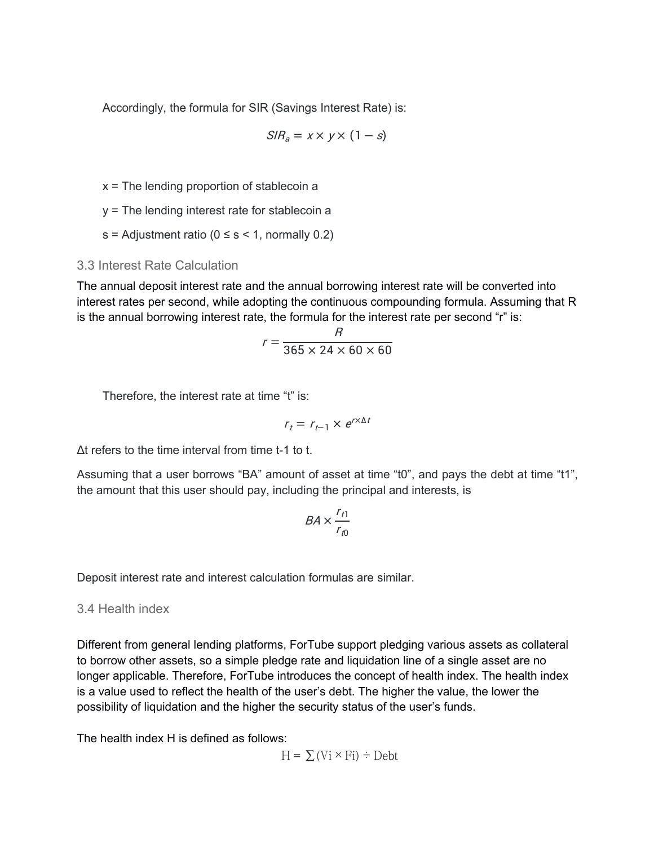<span id="page-13-0"></span>Accordingly, the formula for SIR (Savings Interest Rate) is:

$$
S/R_a = x \times y \times (1 - s)
$$

x = The lending proportion of stablecoin a

y = The lending interest rate for stablecoin a

s = Adjustment ratio ( $0 \le s \le 1$ , normally 0.2)

#### 3.3 Interest Rate Calculation

The annual deposit interest rate and the annual borrowing interest rate will be converted into interest rates per second, while adopting the continuous compounding formula. Assuming that R is the annual borrowing interest rate, the formula for the interest rate per second "r" is:

$$
r = \frac{R}{365 \times 24 \times 60 \times 60}
$$

Therefore, the interest rate at time "t" is:

$$
r_t = r_{t-1} \times e^{r \times \Delta t}
$$

Δt refers to the time interval from time t-1 to t.

Assuming that a user borrows "BA" amount of asset at time "t0", and pays the debt at time "t1", the amount that this user should pay, including the principal and interests, is

$$
BA \times \frac{r_{t1}}{r_{t0}}
$$

Deposit interest rate and interest calculation formulas are similar.

3.4 Health index

Different from general lending platforms, ForTube support pledging various assets as collateral to borrow other assets, so a simple pledge rate and liquidation line of a single asset are no longer applicable. Therefore, ForTube introduces the concept of health index. The health index is a value used to reflect the health of the user's debt. The higher the value, the lower the possibility of liquidation and the higher the security status of the user's funds.

The health index H is defined as follows:

$$
H = \sum (Vi \times Fi) \div Debt
$$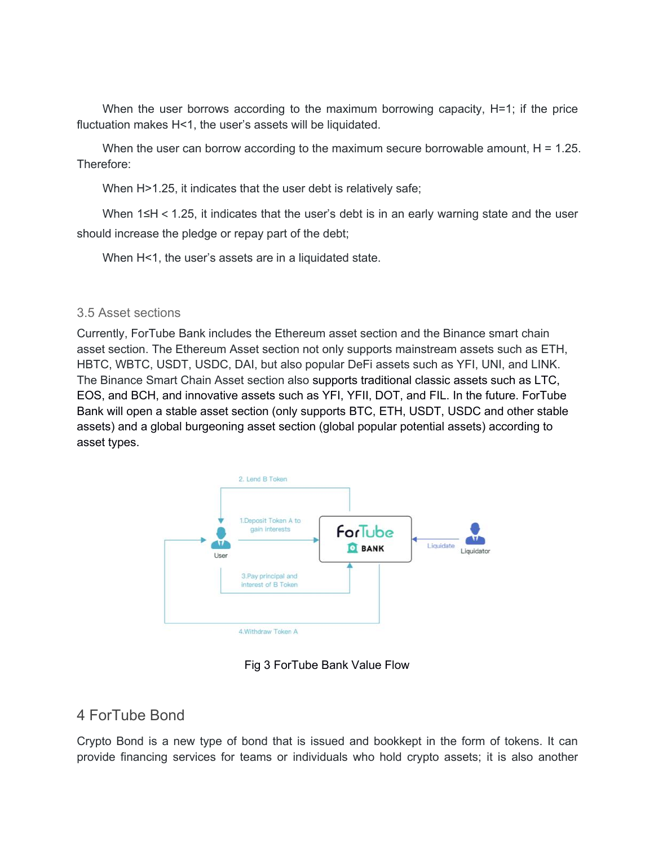<span id="page-14-0"></span>When the user borrows according to the maximum borrowing capacity,  $H=1$ ; if the price fluctuation makes H<1, the user's assets will be liquidated.

When the user can borrow according to the maximum secure borrowable amount,  $H = 1.25$ . Therefore:

When H>1.25, it indicates that the user debt is relatively safe;

When 1≤H < 1.25, it indicates that the user's debt is in an early warning state and the user should increase the pledge or repay part of the debt;

When H<1, the user's assets are in a liquidated state.

#### 3.5 Asset sections

Currently, ForTube Bank includes the Ethereum asset section and the Binance smart chain asset section. The Ethereum Asset section not only supports mainstream assets such as ETH, HBTC, WBTC, USDT, USDC, DAI, but also popular DeFi assets such as YFI, UNI, and LINK. The Binance Smart Chain Asset section also supports traditional classic assets such as LTC, EOS, and BCH, and innovative assets such as YFI, YFII, DOT, and FIL. In the future. ForTube Bank will open a stable asset section (only supports BTC, ETH, USDT, USDC and other stable assets) and a global burgeoning asset section (global popular potential assets) according to asset types.



Fig 3 ForTube Bank Value Flow

# 4 ForTube Bond

Crypto Bond is a new type of bond that is issued and bookkept in the form of tokens. It can provide financing services for teams or individuals who hold crypto assets; it is also another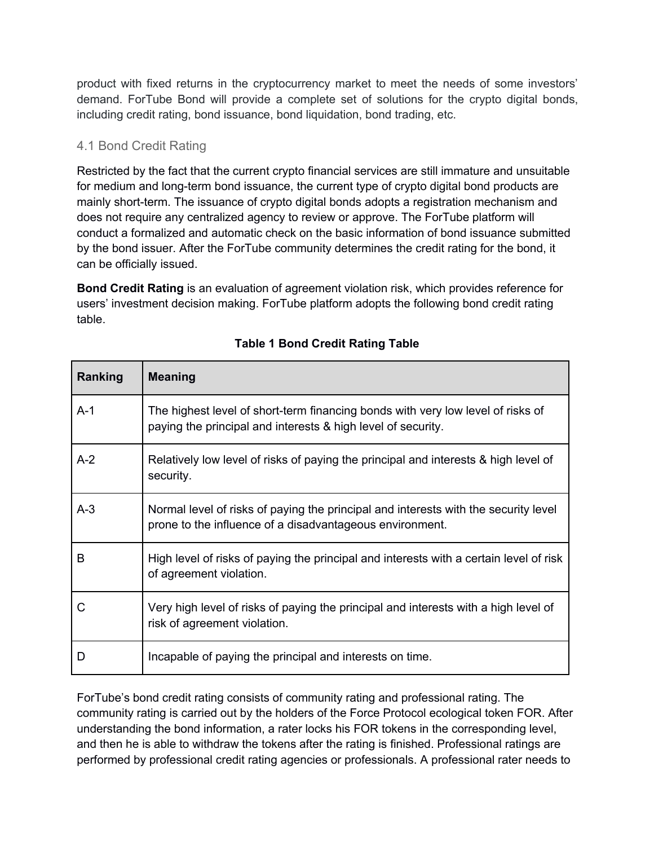<span id="page-15-0"></span>product with fixed returns in the cryptocurrency market to meet the needs of some investors' demand. ForTube Bond will provide a complete set of solutions for the crypto digital bonds, including credit rating, bond issuance, bond liquidation, bond trading, etc.

## 4.1 Bond Credit Rating

Restricted by the fact that the current crypto financial services are still immature and unsuitable for medium and long-term bond issuance, the current type of crypto digital bond products are mainly short-term. The issuance of crypto digital bonds adopts a registration mechanism and does not require any centralized agency to review or approve. The ForTube platform will conduct a formalized and automatic check on the basic information of bond issuance submitted by the bond issuer. After the ForTube community determines the credit rating for the bond, it can be officially issued.

**Bond Credit Rating** is an evaluation of agreement violation risk, which provides reference for users' investment decision making. ForTube platform adopts the following bond credit rating table.

| Ranking      | <b>Meaning</b>                                                                                                                                  |
|--------------|-------------------------------------------------------------------------------------------------------------------------------------------------|
| $A-1$        | The highest level of short-term financing bonds with very low level of risks of<br>paying the principal and interests & high level of security. |
| $A-2$        | Relatively low level of risks of paying the principal and interests & high level of<br>security.                                                |
| $A-3$        | Normal level of risks of paying the principal and interests with the security level<br>prone to the influence of a disadvantageous environment. |
| B            | High level of risks of paying the principal and interests with a certain level of risk<br>of agreement violation.                               |
| $\mathsf{C}$ | Very high level of risks of paying the principal and interests with a high level of<br>risk of agreement violation.                             |
| D            | Incapable of paying the principal and interests on time.                                                                                        |

## **Table 1 Bond Credit Rating Table**

ForTube's bond credit rating consists of community rating and professional rating. The community rating is carried out by the holders of the Force Protocol ecological token FOR. After understanding the bond information, a rater locks his FOR tokens in the corresponding level, and then he is able to withdraw the tokens after the rating is finished. Professional ratings are performed by professional credit rating agencies or professionals. A professional rater needs to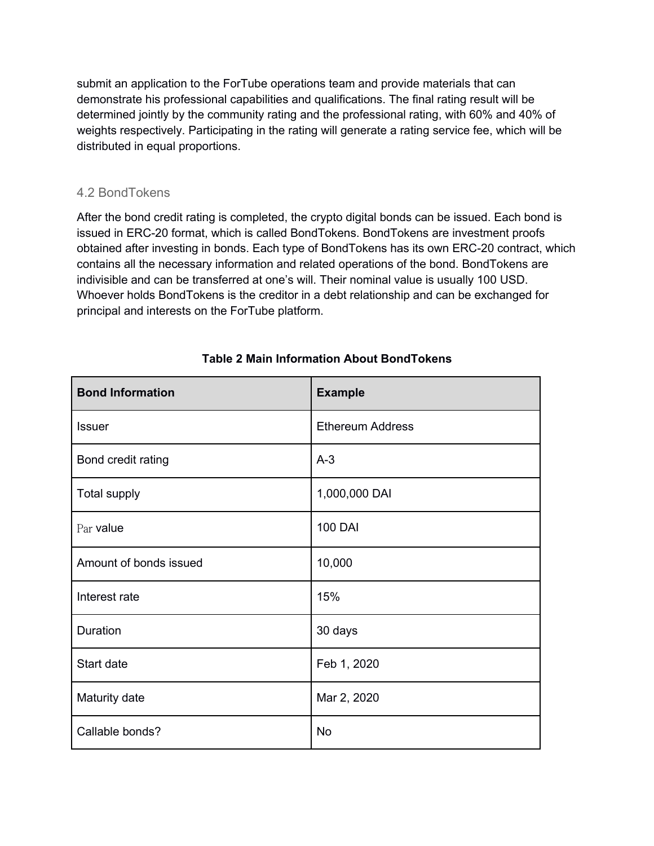<span id="page-16-0"></span>submit an application to the ForTube operations team and provide materials that can demonstrate his professional capabilities and qualifications. The final rating result will be determined jointly by the community rating and the professional rating, with 60% and 40% of weights respectively. Participating in the rating will generate a rating service fee, which will be distributed in equal proportions.

#### 4.2 BondTokens

After the bond credit rating is completed, the crypto digital bonds can be issued. Each bond is issued in ERC-20 format, which is called BondTokens. BondTokens are investment proofs obtained after investing in bonds. Each type of BondTokens has its own ERC-20 contract, which contains all the necessary information and related operations of the bond. BondTokens are indivisible and can be transferred at one's will. Their nominal value is usually 100 USD. Whoever holds BondTokens is the creditor in a debt relationship and can be exchanged for principal and interests on the ForTube platform.

| <b>Bond Information</b> | <b>Example</b>          |
|-------------------------|-------------------------|
| <b>Issuer</b>           | <b>Ethereum Address</b> |
| Bond credit rating      | $A-3$                   |
| <b>Total supply</b>     | 1,000,000 DAI           |
| Par value               | <b>100 DAI</b>          |
| Amount of bonds issued  | 10,000                  |
| Interest rate           | 15%                     |
| Duration                | 30 days                 |
| Start date              | Feb 1, 2020             |
| Maturity date           | Mar 2, 2020             |
| Callable bonds?         | <b>No</b>               |

#### **Table 2 Main Information About BondTokens**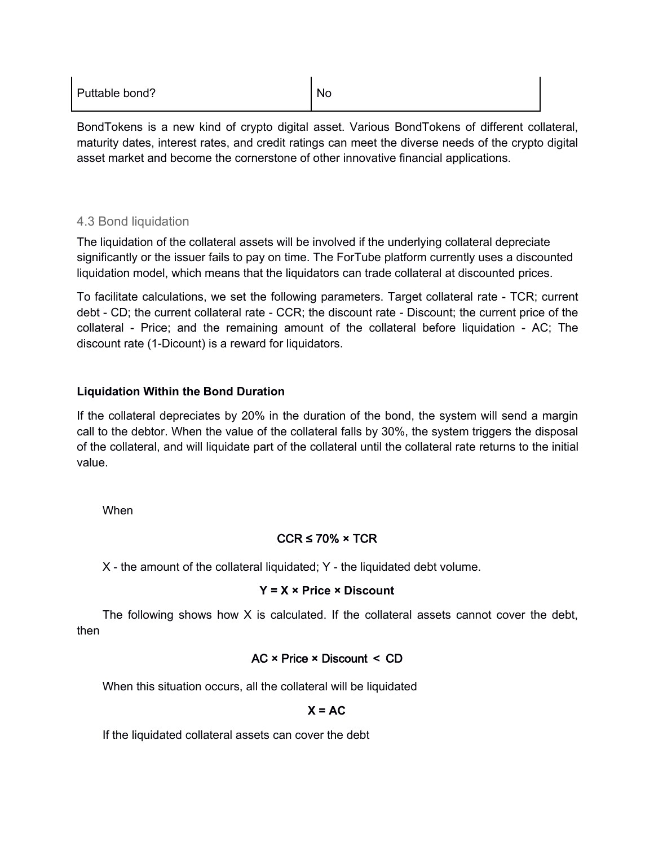<span id="page-17-0"></span>

| Puttable bond? | <b>No</b> |  |
|----------------|-----------|--|
|----------------|-----------|--|

BondTokens is a new kind of crypto digital asset. Various BondTokens of different collateral, maturity dates, interest rates, and credit ratings can meet the diverse needs of the crypto digital asset market and become the cornerstone of other innovative financial applications.

#### 4.3 Bond liquidation

The liquidation of the collateral assets will be involved if the underlying collateral depreciate significantly or the issuer fails to pay on time. The ForTube platform currently uses a discounted liquidation model, which means that the liquidators can trade collateral at discounted prices.

To facilitate calculations, we set the following parameters. Target collateral rate - TCR; current debt - CD; the current collateral rate - CCR; the discount rate - Discount; the current price of the collateral - Price; and the remaining amount of the collateral before liquidation - AC; The discount rate (1-Dicount) is a reward for liquidators.

#### **Liquidation Within the Bond Duration**

If the collateral depreciates by 20% in the duration of the bond, the system will send amargin call to the debtor. When the value of the collateral falls by 30%, the system triggers the disposal of the collateral, and will liquidate part of the collateral until the collateral rate returns to the initial value.<br>When

# $CCR \le 70\% \times TCR$

X - the amount of the collateral liquidated; Y - the liquidated debt volume.

#### **Y = X × Price × Discount**

The following shows how  $X$  is calculated. If the collateral assets cannot cover the debt, then

### AC × Price × Discount < CD

When this situation occurs, all the collateral will be liquidated

#### $X = AC$

If the liquidated collateral assets can cover the debt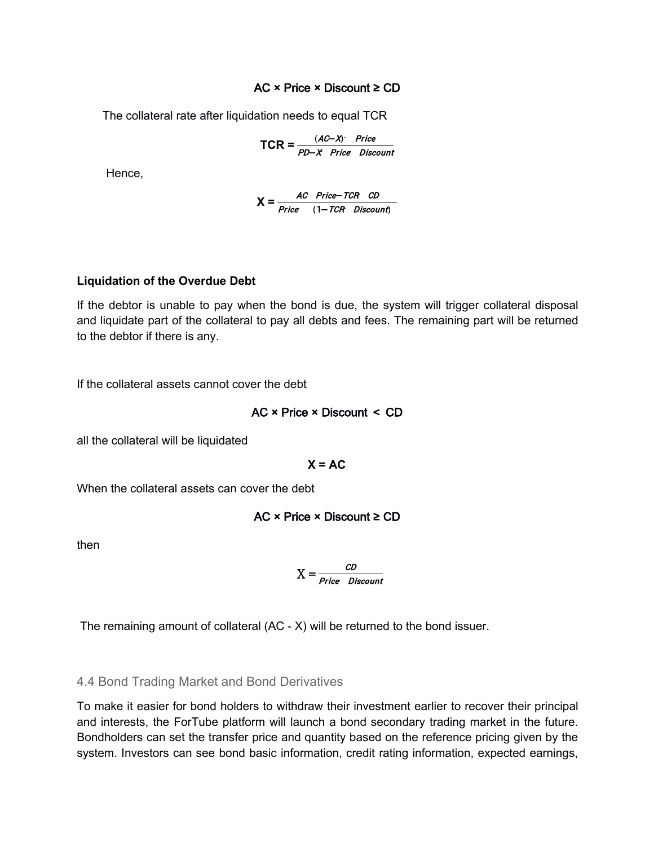#### AC × Price × Discount ≥ CD

<span id="page-18-0"></span>The collateral rate after liquidation needs to equal TCR

$$
TCR = \frac{(AC - X) \cdot Price}{PD - X \cdot Price \text{ Discount}}
$$

Hence,

$$
X = \frac{AC \text{ Price} - TCR \text{ CD}}{Price \text{ (1} - TCR \text{ Discount)}}
$$

#### **Liquidation of the Overdue Debt**

If the debtor is unable to pay when the bond is due, the system will trigger collateral disposal and liquidate part of the collateral to pay all debts and fees. The remaining part will be returned to the debtor if there is any.

If the collateral assets cannot cover the debt

$$
AC \times Price \times Discount \le CD
$$

all the collateral will be liquidated

 $X = AC$ 

When the collateral assets can cover the debt

$$
AC \times Price \times Discount \ge CD
$$

then

$$
X = \frac{CD}{Price \ Discount}
$$

The remaining amount of collateral (AC - X) will be returned to the bond issuer.

4.4 Bond Trading Market and Bond Derivatives

To make it easier for bond holders to withdraw their investment earlier to recover their principal and interests, the ForTube platform will launch a bond secondary trading market in the future. Bondholders can set the transfer price and quantity based on the reference pricing given by the system. Investors can see bond basic information, credit rating information, expected earnings,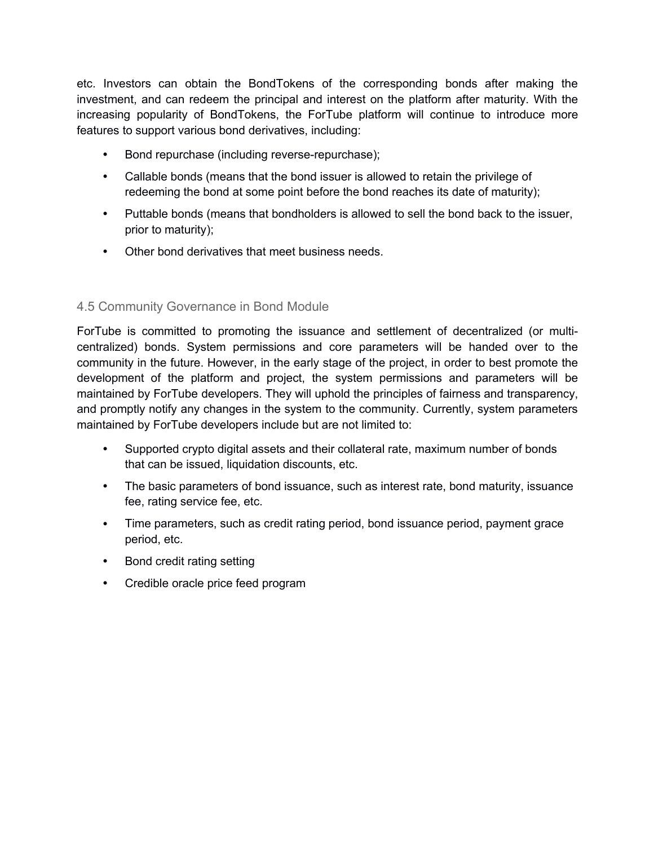<span id="page-19-0"></span>etc. Investors can obtain the BondTokens of the corresponding bonds after making the investment, and can redeem the principal and interest on the platform after maturity. With the increasing popularity of BondTokens, the ForTube platform will continue to introduce more features to support various bond derivatives, including:

- Bond repurchase (including reverse-repurchase);
- Callable bonds (means that the bond issuer is allowed to retain the privilege of redeeming the bond at some point before the bond reaches its date of maturity);
- Puttable bonds (means that bondholders is allowed to sell the bond back to the issuer, prior to maturity);
- Other bond derivatives that meet business needs.

## 4.5 Community Governance in Bond Module

ForTube is committed to promoting the issuance and settlement of decentralized (or multi centralized) bonds. System permissions and core parameters will be handed over to the community in the future. However, in the early stage of the project, in order to best promote the development of the platform and project, the system permissions and parameters will be maintained by ForTube developers. They will uphold the principles of fairness and transparency, and promptly notify any changes in the system to the community. Currently, system parameters maintained by ForTube developers include but are not limited to:

- Supported crypto digital assets and their collateral rate, maximum number of bonds that can be issued, liquidation discounts, etc.
- The basic parameters of bond issuance, such as interest rate, bond maturity, issuance fee, rating service fee, etc.
- Time parameters, such as credit rating period, bond issuance period, payment grace period, etc.
- Bond credit rating setting
- Credible oracle price feed program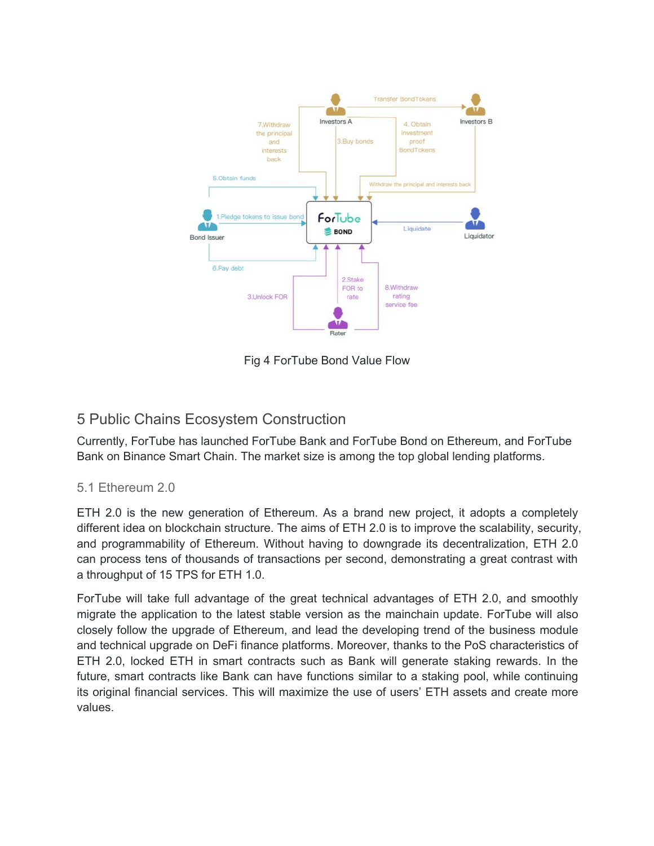<span id="page-20-0"></span>

Fig 4 ForTube Bond Value Flow

# 5 Public Chains Ecosystem Construction

Currently, ForTube has launched ForTube Bank and ForTube Bond on Ethereum, and ForTube Bank on Binance Smart Chain. The market size is among the top global lending platforms.

# 5.1 Ethereum 2.0

ETH 2.0 is the new generation of Ethereum. As a brand new project, it adopts a completely different idea on blockchain structure. The aims of ETH 2.0 is to improve the scalability, security, and programmability of Ethereum. Without having to downgrade its decentralization, ETH 2.0 can process tens of thousands of transactions per second, demonstrating a great contrast with a throughput of 15 TPS for ETH 1.0.

ForTube will take full advantage of the great technical advantages of ETH 2.0, and smoothly migrate the application to the latest stable version as the mainchain update. ForTube will also closely follow the upgrade of Ethereum, and lead the developing trend of the business module and technical upgrade on DeFi finance platforms. Moreover, thanks to the PoS characteristics of ETH 2.0, locked ETH in smart contracts such as Bank will generate staking rewards. In the future, smart contracts like Bank can have functions similar to a staking pool, while continuing its original financial services. This will maximize the use of users' ETH assets and create more values.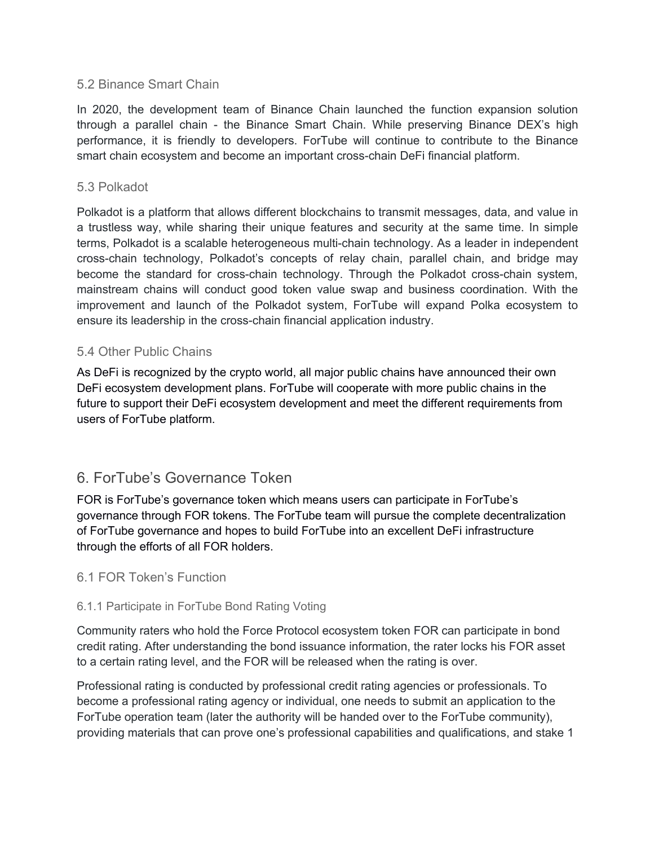#### <span id="page-21-0"></span>5.2 Binance Smart Chain

In 2020, the development team of Binance Chain launched the function expansion solution through a parallel chain - the Binance Smart Chain. While preserving Binance DEX's high performance, it is friendly to developers. ForTube will continue to contribute to the Binance smart chain ecosystem and become an important cross-chain DeFi financial platform.

#### 5.3 Polkadot

Polkadot is a platform that allows different blockchains to transmit messages, data, and value in a trustless way, while sharing their unique features and security at the same time. In simple terms, Polkadot is a scalable heterogeneous multi-chain technology. As a leader in independent cross-chain technology, Polkadot's concepts of relay chain, parallel chain, and bridge may become the standard for cross-chain technology. Through the Polkadot cross-chain system, mainstream chains will conduct good token value swap and business coordination. With the improvement and launch of the Polkadot system, ForTube will expand Polka ecosystem to ensure its leadership in the cross-chain financial application industry.

#### 5.4 Other Public Chains

As DeFi is recognized by the crypto world, all major public chains have announced their own DeFi ecosystem development plans. ForTube will cooperate with more public chains in the future to support their DeFi ecosystem development and meet the different requirements from users of ForTube platform.

# 6. ForTube's Governance Token

FOR is ForTube's governance token which means users can participate in ForTube's governance through FOR tokens. The ForTube team will pursue the complete decentralization of ForTube governance and hopes to build ForTube into an excellent DeFi infrastructure through the efforts of all FOR holders.

#### 6.1 FOR Token's Function

#### 6.1.1 Participate in ForTube Bond Rating Voting

Community raters who hold the Force Protocol ecosystem token FOR can participate in bond credit rating. After understanding the bond issuance information, the rater locks his FOR asset to a certain rating level, and the FOR will be released when the rating is over.

Professional rating is conducted by professional credit rating agencies or professionals. To become a professional rating agency or individual, one needs to submit an application to the ForTube operation team (later the authority will be handed over to the ForTube community), providing materials that can prove one's professional capabilities and qualifications, and stake 1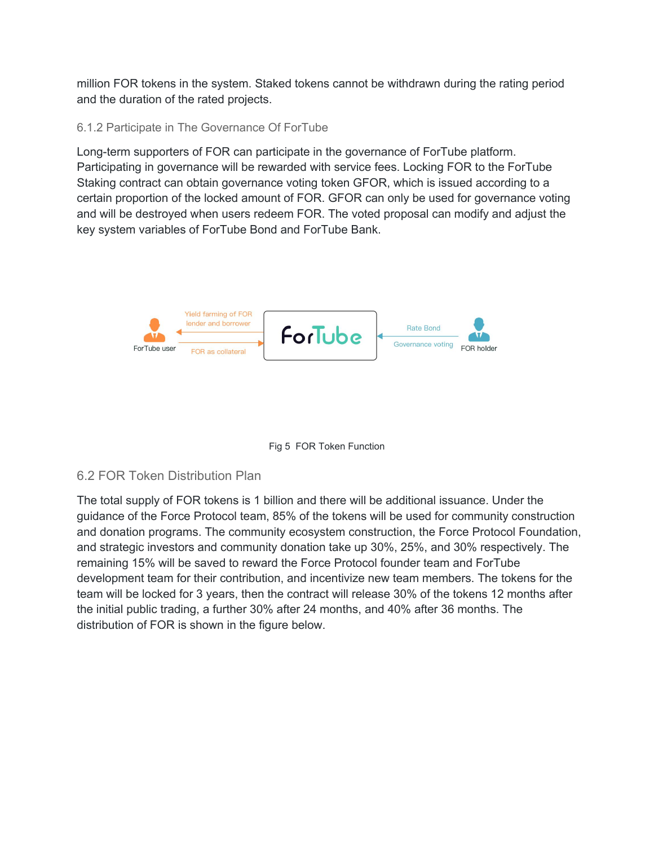<span id="page-22-0"></span>million FOR tokens in the system. Staked tokens cannot be withdrawn during the rating period and the duration of the rated projects.

## 6.1.2 Participate in The Governance Of ForTube

Long-term supporters of FOR can participate in the governance of ForTube platform. Participating in governance will be rewarded with service fees. Locking FOR to the ForTube Staking contract can obtain governance voting token GFOR, which is issued according to a certain proportion of the locked amount of FOR. GFOR can only be used for governance voting and will be destroyed when users redeem FOR. The voted proposal can modify and adjust the key system variables of ForTube Bond and ForTube Bank.





# 6.2 FOR Token Distribution Plan

The total supply of FOR tokens is 1 billion and there will be additional issuance. Under the guidance of the Force Protocol team, 85% of the tokens will be used for community construction and donation programs. The community ecosystem construction, the Force Protocol Foundation, and strategic investors and community donation take up 30%, 25%, and 30% respectively. The remaining 15% will be saved to reward the Force Protocol founder team and ForTube development team for their contribution, and incentivize new team members. The tokens for the team will be locked for 3 years, then the contract will release 30% of the tokens 12 months after the initial public trading, a further 30% after 24 months, and 40% after 36 months. The distribution of FOR is shown in the figure below.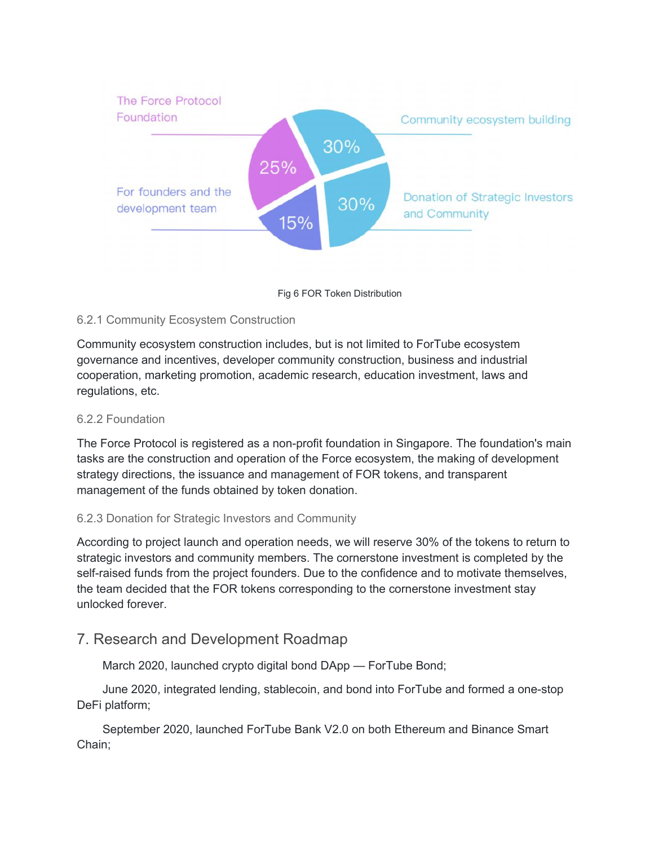<span id="page-23-0"></span>

Fig 6 FOR Token Distribution

#### 6.2.1 Community Ecosystem Construction

Community ecosystem construction includes, but is not limited to ForTube ecosystem governance and incentives, developer community construction, business and industrial cooperation, marketing promotion, academic research, education investment, laws and regulations, etc.

#### 6.2.2 Foundation

The Force Protocol is registered as a non-profit foundation in Singapore. The foundation's main tasks are the construction and operation of the Force ecosystem, the making of development strategy directions, the issuance and management of FOR tokens, and transparent management of the funds obtained by token donation.

#### 6.2.3 Donation for Strategic Investors and Community

According to project launch and operation needs, we will reserve 30% of the tokens to return to strategic investors and community members. The cornerstone investment is completed by the self-raised funds from the project founders. Due to the confidence and to motivate themselves, the team decided that the FOR tokens corresponding to the cornerstone investment stay unlocked forever.

# 7. Research and Development Roadmap

March 2020, launched crypto digital bond DApp — ForTube Bond;

June 2020, integrated lending, stablecoin, and bond into ForTube and formed a one-stop DeFi platform;

September 2020, launched ForTube Bank V2.0 on both Ethereum and Binance Smart Chain;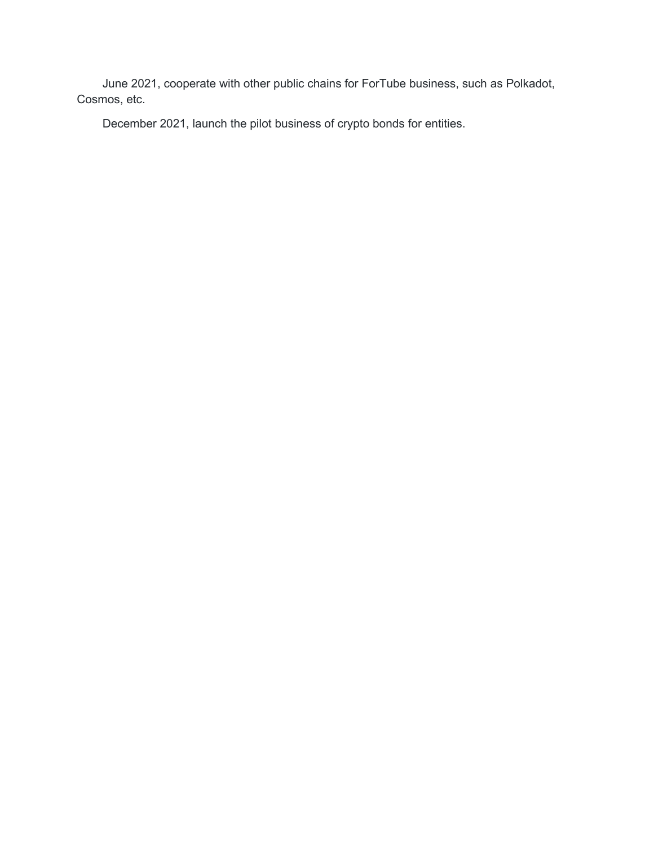June 2021, cooperate with other public chains for ForTube business, such as Polkadot, Cosmos, etc.

December 2021, launch the pilot business of crypto bonds for entities.